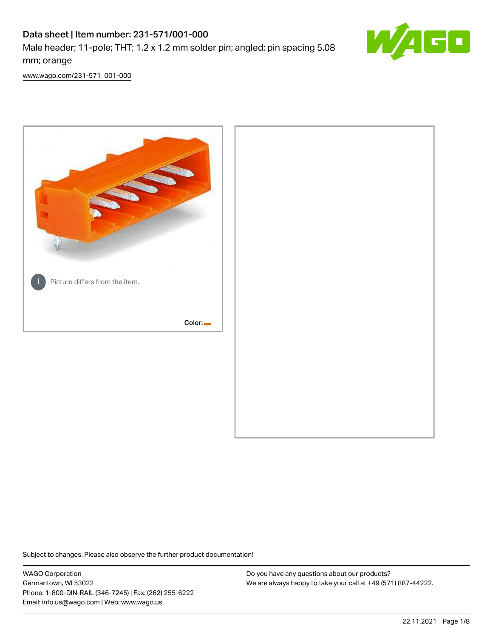# Data sheet | Item number: 231-571/001-000

Male header; 11-pole; THT; 1.2 x 1.2 mm solder pin; angled; pin spacing 5.08 mm; orange



[www.wago.com/231-571\\_001-000](http://www.wago.com/231-571_001-000)



Subject to changes. Please also observe the further product documentation!

WAGO Corporation Germantown, WI 53022 Phone: 1-800-DIN-RAIL (346-7245) | Fax: (262) 255-6222 Email: info.us@wago.com | Web: www.wago.us

Do you have any questions about our products? We are always happy to take your call at +49 (571) 887-44222.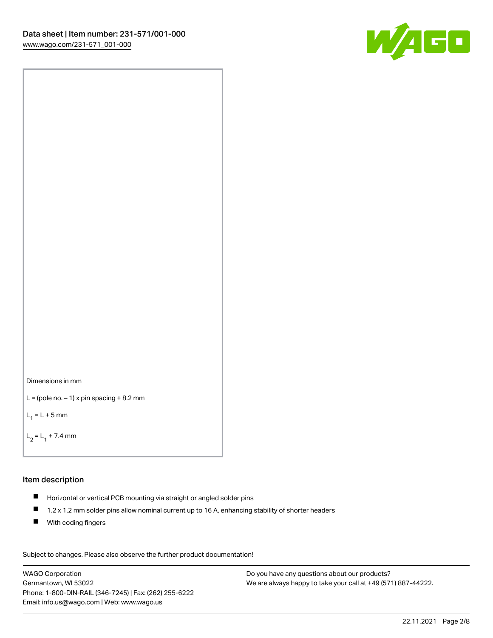



```
L = (pole no. -1) x pin spacing +8.2 mm
```
 $L_1 = L + 5$  mm

```
L_2 = L_1 + 7.4 mm
```
### Item description

- Horizontal or vertical PCB mounting via straight or angled solder pins
- $\blacksquare$ 1.2 x 1.2 mm solder pins allow nominal current up to 16 A, enhancing stability of shorter headers
- **With coding fingers**

Subject to changes. Please also observe the further product documentation! Data

WAGO Corporation Germantown, WI 53022 Phone: 1-800-DIN-RAIL (346-7245) | Fax: (262) 255-6222 Email: info.us@wago.com | Web: www.wago.us

Do you have any questions about our products? We are always happy to take your call at +49 (571) 887-44222.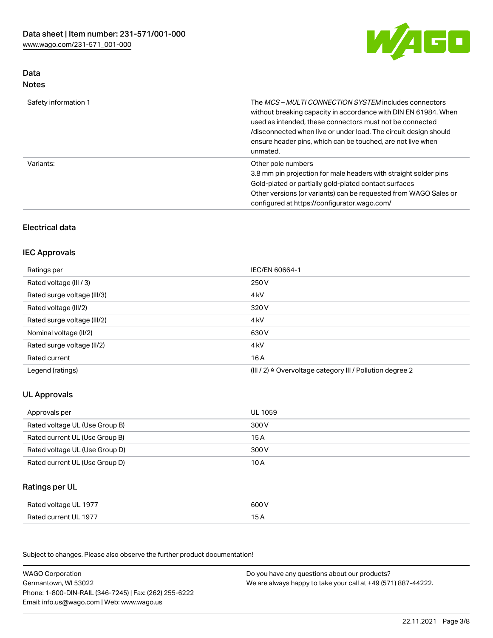

## Data Notes

| Safety information 1 | The <i>MCS – MULTI CONNECTION SYSTEM</i> includes connectors<br>without breaking capacity in accordance with DIN EN 61984. When<br>used as intended, these connectors must not be connected<br>/disconnected when live or under load. The circuit design should<br>ensure header pins, which can be touched, are not live when<br>unmated. |
|----------------------|--------------------------------------------------------------------------------------------------------------------------------------------------------------------------------------------------------------------------------------------------------------------------------------------------------------------------------------------|
| Variants:            | Other pole numbers<br>3.8 mm pin projection for male headers with straight solder pins<br>Gold-plated or partially gold-plated contact surfaces<br>Other versions (or variants) can be requested from WAGO Sales or<br>configured at https://configurator.wago.com/                                                                        |

# Electrical data

# IEC Approvals

| Ratings per                 | IEC/EN 60664-1                                                        |
|-----------------------------|-----------------------------------------------------------------------|
| Rated voltage (III / 3)     | 250 V                                                                 |
| Rated surge voltage (III/3) | 4 <sub>k</sub> V                                                      |
| Rated voltage (III/2)       | 320 V                                                                 |
| Rated surge voltage (III/2) | 4 <sub>kV</sub>                                                       |
| Nominal voltage (II/2)      | 630 V                                                                 |
| Rated surge voltage (II/2)  | 4 <sub>k</sub> V                                                      |
| Rated current               | 16A                                                                   |
| Legend (ratings)            | $(III / 2)$ $\triangle$ Overvoltage category III / Pollution degree 2 |

# UL Approvals

| Approvals per                  | UL 1059 |
|--------------------------------|---------|
| Rated voltage UL (Use Group B) | 300 V   |
| Rated current UL (Use Group B) | 15 A    |
| Rated voltage UL (Use Group D) | 300 V   |
| Rated current UL (Use Group D) | 10 A    |

## Ratings per UL

| Rated voltage UL 1977 | 600 V |
|-----------------------|-------|
| Rated current UL 1977 |       |

Subject to changes. Please also observe the further product documentation!

| <b>WAGO Corporation</b>                                | Do you have any questions about our products?                 |
|--------------------------------------------------------|---------------------------------------------------------------|
| Germantown, WI 53022                                   | We are always happy to take your call at +49 (571) 887-44222. |
| Phone: 1-800-DIN-RAIL (346-7245)   Fax: (262) 255-6222 |                                                               |
| Email: info.us@wago.com   Web: www.wago.us             |                                                               |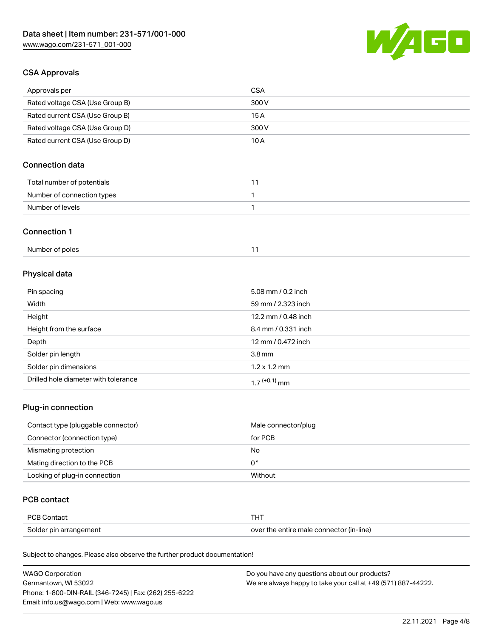

## CSA Approvals

| Approvals per                   | <b>CSA</b> |
|---------------------------------|------------|
| Rated voltage CSA (Use Group B) | 300 V      |
| Rated current CSA (Use Group B) | 15 A       |
| Rated voltage CSA (Use Group D) | 300 V      |
| Rated current CSA (Use Group D) | 10 A       |

# Connection data

| Total number of potentials |  |
|----------------------------|--|
| Number of connection types |  |
| Number of levels           |  |

### Connection 1

| Number of poles |  |
|-----------------|--|
|                 |  |

# Physical data

| Pin spacing                          | 5.08 mm / 0.2 inch  |
|--------------------------------------|---------------------|
| Width                                | 59 mm / 2.323 inch  |
| Height                               | 12.2 mm / 0.48 inch |
| Height from the surface              | 8.4 mm / 0.331 inch |
| Depth                                | 12 mm / 0.472 inch  |
| Solder pin length                    | 3.8 <sub>mm</sub>   |
| Solder pin dimensions                | $1.2 \times 1.2$ mm |
| Drilled hole diameter with tolerance | $17^{(+0.1)}$ mm    |

# Plug-in connection

| Contact type (pluggable connector) | Male connector/plug |
|------------------------------------|---------------------|
| Connector (connection type)        | for PCB             |
| Mismating protection               | No                  |
| Mating direction to the PCB        | 0°                  |
| Locking of plug-in connection      | Without             |

## PCB contact

| PCB Contact            |                                          |
|------------------------|------------------------------------------|
| Solder pin arrangement | over the entire male connector (in-line) |

Subject to changes. Please also observe the further product documentation!

| <b>WAGO Corporation</b>                                | Do you have any questions about our products?                 |
|--------------------------------------------------------|---------------------------------------------------------------|
| Germantown, WI 53022                                   | We are always happy to take your call at +49 (571) 887-44222. |
| Phone: 1-800-DIN-RAIL (346-7245)   Fax: (262) 255-6222 |                                                               |
| Email: info.us@wago.com   Web: www.wago.us             |                                                               |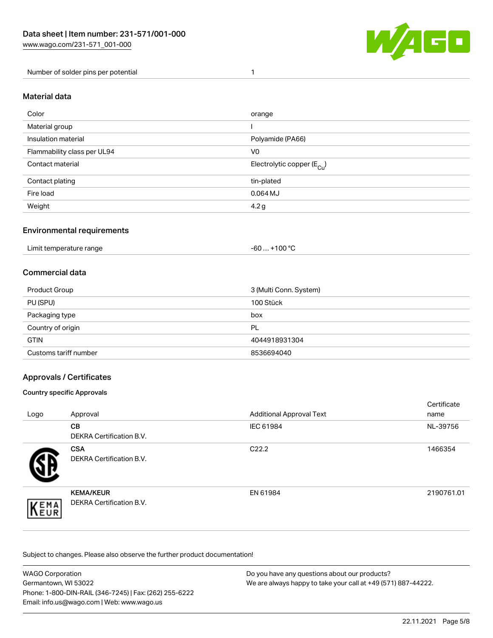

Number of solder pins per potential 1

#### Material data

| Color                       | orange                                 |
|-----------------------------|----------------------------------------|
| Material group              |                                        |
| Insulation material         | Polyamide (PA66)                       |
| Flammability class per UL94 | V <sub>0</sub>                         |
| Contact material            | Electrolytic copper (E <sub>Cu</sub> ) |
| Contact plating             | tin-plated                             |
| Fire load                   | $0.064$ MJ                             |
| Weight                      | 4.2 <sub>g</sub>                       |

## Environmental requirements

Limit temperature range  $-60... +100$  °C

## Commercial data

| Product Group         | 3 (Multi Conn. System) |  |
|-----------------------|------------------------|--|
| PU (SPU)              | 100 Stück              |  |
| Packaging type        | box                    |  |
| Country of origin     | PL                     |  |
| <b>GTIN</b>           | 4044918931304          |  |
| Customs tariff number | 8536694040             |  |

## Approvals / Certificates

### Country specific Approvals

| Logo               | Approval                                            | <b>Additional Approval Text</b> | Certificate<br>name |
|--------------------|-----------------------------------------------------|---------------------------------|---------------------|
|                    | <b>CB</b><br><b>DEKRA Certification B.V.</b>        | IEC 61984                       | NL-39756            |
|                    | <b>CSA</b><br>DEKRA Certification B.V.              | C <sub>22.2</sub>               | 1466354             |
| EMA<br><b>NEUR</b> | <b>KEMA/KEUR</b><br><b>DEKRA Certification B.V.</b> | EN 61984                        | 2190761.01          |

Subject to changes. Please also observe the further product documentation!

| WAGO Corporation                                       | Do you have any questions about our products?                 |
|--------------------------------------------------------|---------------------------------------------------------------|
| Germantown, WI 53022                                   | We are always happy to take your call at +49 (571) 887-44222. |
| Phone: 1-800-DIN-RAIL (346-7245)   Fax: (262) 255-6222 |                                                               |
| Email: info.us@wago.com   Web: www.wago.us             |                                                               |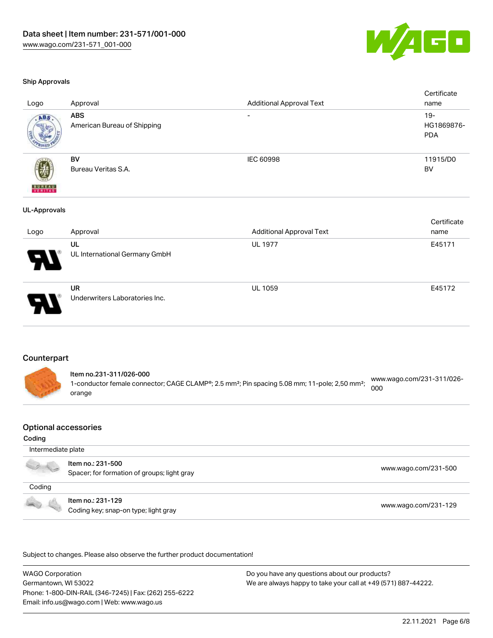

#### Ship Approvals

| name        |
|-------------|
|             |
| $19 -$      |
| HG1869876-  |
| <b>PDA</b>  |
|             |
| 11915/D0    |
| BV          |
|             |
|             |
|             |
|             |
| Certificate |
| name        |
| E45171      |
|             |
|             |
|             |
|             |



UR Underwriters Laboratories Inc.

### Counterpart

Item no.231-311/026-000 1-conductor female connector; CAGE CLAMP®; 2.5 mm²; Pin spacing 5.08 mm; 11-pole; 2,50 mm²; orange [www.wago.com/231-311/026-](https://www.wago.com/231-311/026-000) [000](https://www.wago.com/231-311/026-000)

#### Optional accessories

#### Coding

 Intermediate plate Item no.: 231-500 J. Not the second that the second second the second second second that [www.wago.com/231-500](http://www.wago.com/231-500) spacer; for formation of groups; light gray Coding Item no.: 231-129 Coding key; snap-on type; light gray [www.wago.com/231-129](http://www.wago.com/231-129)

.<br>Subject to changes. Please also observe the further product documentation!

WAGO Corporation Germantown, WI 53022 Phone: 1-800-DIN-RAIL (346-7245) | Fax: (262) 255-6222 Email: info.us@wago.com | Web: www.wago.us

Do you have any questions about our products? We are always happy to take your call at +49 (571) 887-44222.

UL 1059 E45172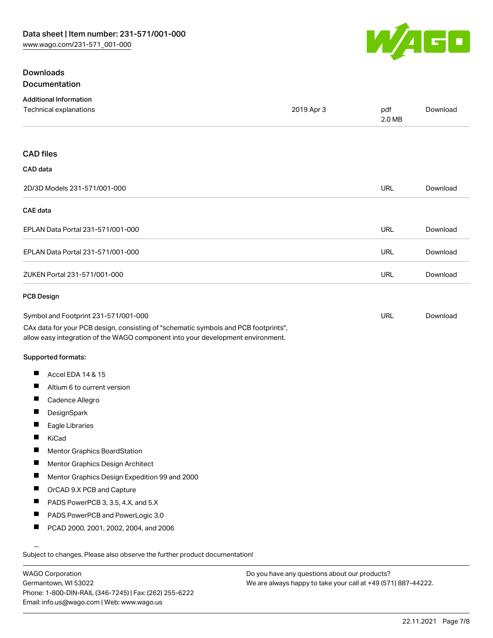

# **Downloads** Documentation

| <b>Additional Information</b>                                                                                                                                          |            |               |          |
|------------------------------------------------------------------------------------------------------------------------------------------------------------------------|------------|---------------|----------|
| Technical explanations                                                                                                                                                 | 2019 Apr 3 | pdf<br>2.0 MB | Download |
| <b>CAD files</b>                                                                                                                                                       |            |               |          |
| CAD data                                                                                                                                                               |            |               |          |
| 2D/3D Models 231-571/001-000                                                                                                                                           |            | <b>URL</b>    | Download |
| <b>CAE</b> data                                                                                                                                                        |            |               |          |
| EPLAN Data Portal 231-571/001-000                                                                                                                                      |            | URL           | Download |
| EPLAN Data Portal 231-571/001-000                                                                                                                                      |            | URL           | Download |
| ZUKEN Portal 231-571/001-000                                                                                                                                           |            | URL           | Download |
| <b>PCB Design</b>                                                                                                                                                      |            |               |          |
| Symbol and Footprint 231-571/001-000                                                                                                                                   |            | URL           | Download |
| CAx data for your PCB design, consisting of "schematic symbols and PCB footprints",<br>allow easy integration of the WAGO component into your development environment. |            |               |          |
| Supported formats:                                                                                                                                                     |            |               |          |
| Ш<br>Accel EDA 14 & 15                                                                                                                                                 |            |               |          |
| Ш<br>Altium 6 to current version                                                                                                                                       |            |               |          |
| ш<br>Cadence Allegro                                                                                                                                                   |            |               |          |
| −<br>DesignSpark                                                                                                                                                       |            |               |          |
| $\overline{\phantom{a}}$<br>Eagle Libraries                                                                                                                            |            |               |          |
| ш<br>KiCad                                                                                                                                                             |            |               |          |
| Mentor Graphics BoardStation                                                                                                                                           |            |               |          |
| ш<br>Mentor Graphics Design Architect                                                                                                                                  |            |               |          |
| ш<br>Mentor Graphics Design Expedition 99 and 2000                                                                                                                     |            |               |          |
| ш<br>OrCAD 9.X PCB and Capture                                                                                                                                         |            |               |          |
| Ш<br>PADS PowerPCB 3, 3.5, 4.X, and 5.X                                                                                                                                |            |               |          |
| ш<br>PADS PowerPCB and PowerLogic 3.0                                                                                                                                  |            |               |          |
| Ш<br>PCAD 2000, 2001, 2002, 2004, and 2006                                                                                                                             |            |               |          |
| Subject to changes. Please also observe the further product documentation!                                                                                             |            |               |          |

Do you have any questions about our products? We are always happy to take your call at +49 (571) 887-44222.